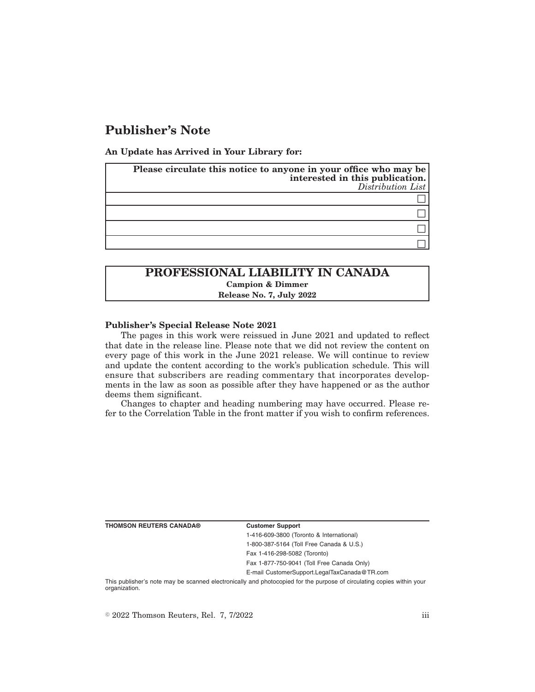# **Publisher's Note**

**An Update has Arrived in Your Library for:**

| Please circulate this notice to anyone in your office who may be<br>interested in this publication.<br>Distribution List |
|--------------------------------------------------------------------------------------------------------------------------|
|                                                                                                                          |
|                                                                                                                          |
|                                                                                                                          |
|                                                                                                                          |

## **PROFESSIONAL LIABILITY IN CANADA Campion & Dimmer Release No. 7, July 2022**

### **Publisher's Special Release Note 2021**

The pages in this work were reissued in June 2021 and updated to reflect that date in the release line. Please note that we did not review the content on every page of this work in the June 2021 release. We will continue to review and update the content according to the work's publication schedule. This will ensure that subscribers are reading commentary that incorporates developments in the law as soon as possible after they have happened or as the author deems them significant.

Changes to chapter and heading numbering may have occurred. Please refer to the Correlation Table in the front matter if you wish to confirm references.

**THOMSON REUTERS CANADA® Customer Support**

1-416-609-3800 (Toronto & International) 1-800-387-5164 (Toll Free Canada & U.S.)

Fax 1-416-298-5082 (Toronto)

Fax 1-877-750-9041 (Toll Free Canada Only)

E-mail CustomerSupport.LegalTaxCanada@TR.com

This publisher's note may be scanned electronically and photocopied for the purpose of circulating copies within your organization.

 $\degree$  2022 Thomson Reuters, Rel. 7, 7/2022 iii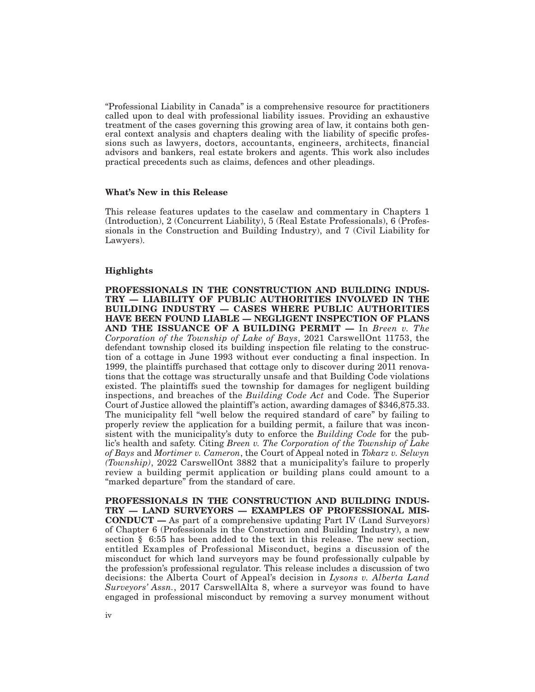''Professional Liability in Canada'' is a comprehensive resource for practitioners called upon to deal with professional liability issues. Providing an exhaustive treatment of the cases governing this growing area of law, it contains both general context analysis and chapters dealing with the liability of specific professions such as lawyers, doctors, accountants, engineers, architects, financial advisors and bankers, real estate brokers and agents. This work also includes practical precedents such as claims, defences and other pleadings.

### **What's New in this Release**

This release features updates to the caselaw and commentary in Chapters 1 (Introduction), 2 (Concurrent Liability), 5 (Real Estate Professionals), 6 (Professionals in the Construction and Building Industry), and 7 (Civil Liability for Lawyers).

### **Highlights**

**PROFESSIONALS IN THE CONSTRUCTION AND BUILDING INDUS-TRY — LIABILITY OF PUBLIC AUTHORITIES INVOLVED IN THE BUILDING INDUSTRY — CASES WHERE PUBLIC AUTHORITIES HAVE BEEN FOUND LIABLE — NEGLIGENT INSPECTION OF PLANS AND THE ISSUANCE OF A BUILDING PERMIT —** In *Breen v. The Corporation of the Township of Lake of Bays*, 2021 CarswellOnt 11753, the defendant township closed its building inspection file relating to the construction of a cottage in June 1993 without ever conducting a final inspection. In 1999, the plaintiffs purchased that cottage only to discover during 2011 renovations that the cottage was structurally unsafe and that Building Code violations existed. The plaintiffs sued the township for damages for negligent building inspections, and breaches of the *Building Code Act* and Code. The Superior Court of Justice allowed the plaintiff's action, awarding damages of \$346,875.33. The municipality fell "well below the required standard of care" by failing to properly review the application for a building permit, a failure that was inconsistent with the municipality's duty to enforce the *Building Code* for the public's health and safety. Citing *Breen v. The Corporation of the Township of Lake of Bays* and *Mortimer v. Cameron*, the Court of Appeal noted in *Tokarz v. Selwyn (Township)*, 2022 CarswellOnt 3882 that a municipality's failure to properly review a building permit application or building plans could amount to a "marked departure" from the standard of care.

**PROFESSIONALS IN THE CONSTRUCTION AND BUILDING INDUS-TRY — LAND SURVEYORS — EXAMPLES OF PROFESSIONAL MIS-CONDUCT —** As part of a comprehensive updating Part IV (Land Surveyors) of Chapter 6 (Professionals in the Construction and Building Industry), a new section § 6:55 has been added to the text in this release. The new section, entitled Examples of Professional Misconduct, begins a discussion of the misconduct for which land surveyors may be found professionally culpable by the profession's professional regulator. This release includes a discussion of two decisions: the Alberta Court of Appeal's decision in *Lysons v. Alberta Land Surveyors' Assn.*, 2017 CarswellAlta 8, where a surveyor was found to have engaged in professional misconduct by removing a survey monument without